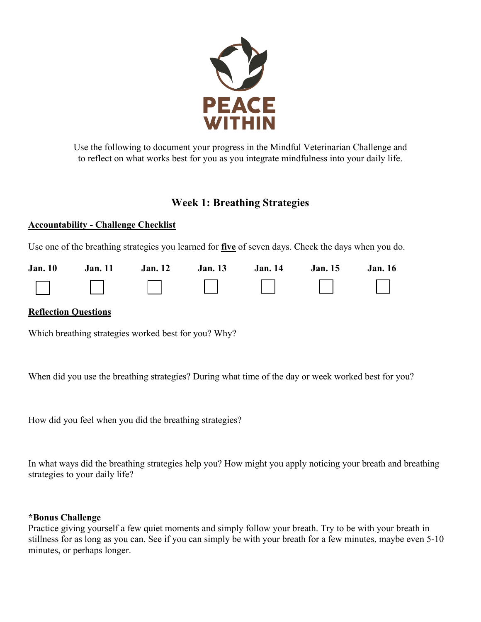

Use the following to document your progress in the Mindful Veterinarian Challenge and to reflect on what works best for you as you integrate mindfulness into your daily life.

# **Week 1: Breathing Strategies**

# **Accountability - Challenge Checklist**

Use one of the breathing strategies you learned for **five** of seven days. Check the days when you do.

|  | Jan. 10 Jan. 11 Jan. 12 Jan. 13 Jan. 14 Jan. 15 Jan. 16 |  |  |
|--|---------------------------------------------------------|--|--|
|  |                                                         |  |  |

### **Reflection Questions**

Which breathing strategies worked best for you? Why?

When did you use the breathing strategies? During what time of the day or week worked best for you?

How did you feel when you did the breathing strategies?

In what ways did the breathing strategies help you? How might you apply noticing your breath and breathing strategies to your daily life?

#### **\*Bonus Challenge**

Practice giving yourself a few quiet moments and simply follow your breath. Try to be with your breath in stillness for as long as you can. See if you can simply be with your breath for a few minutes, maybe even 5-10 minutes, or perhaps longer.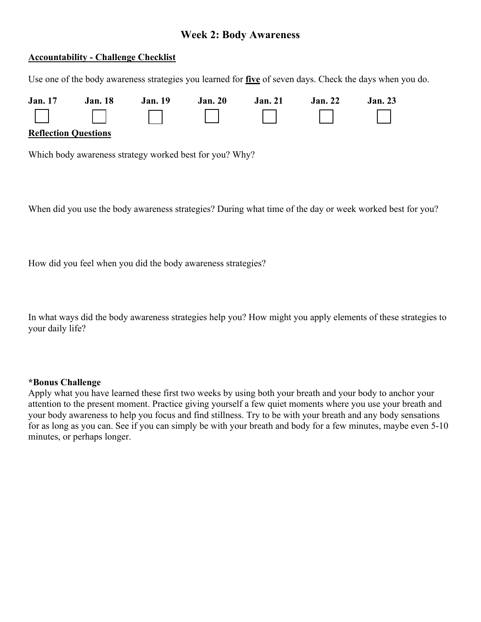# **Week 2: Body Awareness**

#### **Accountability - Challenge Checklist**

Use one of the body awareness strategies you learned for **five** of seven days. Check the days when you do.

| <b>Jan.</b> 17 | <b>Jan.</b> 18              | <b>Jan.</b> 19 | <b>Jan. 20</b> | <b>Jan. 21</b> | <b>Jan. 22</b> | <b>Jan. 23</b> |
|----------------|-----------------------------|----------------|----------------|----------------|----------------|----------------|
|                |                             |                |                |                |                |                |
|                | <b>Reflection Questions</b> |                |                |                |                |                |

Which body awareness strategy worked best for you? Why?

When did you use the body awareness strategies? During what time of the day or week worked best for you?

How did you feel when you did the body awareness strategies?

In what ways did the body awareness strategies help you? How might you apply elements of these strategies to your daily life?

#### **\*Bonus Challenge**

Apply what you have learned these first two weeks by using both your breath and your body to anchor your attention to the present moment. Practice giving yourself a few quiet moments where you use your breath and your body awareness to help you focus and find stillness. Try to be with your breath and any body sensations for as long as you can. See if you can simply be with your breath and body for a few minutes, maybe even 5-10 minutes, or perhaps longer.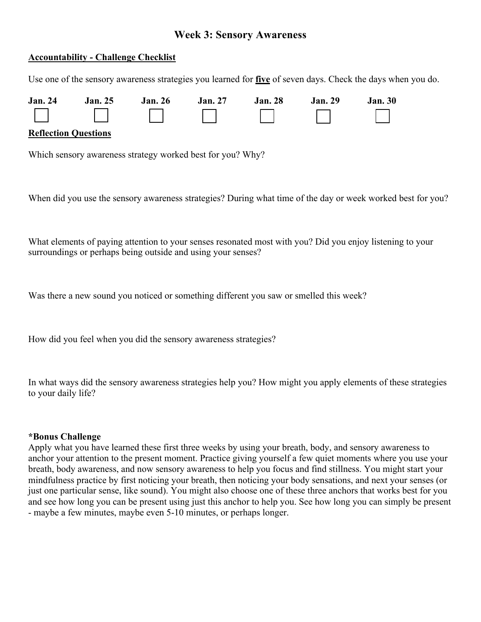### **Week 3: Sensory Awareness**

#### **Accountability - Challenge Checklist**

Use one of the sensory awareness strategies you learned for **five** of seven days. Check the days when you do.

| <b>Jan. 24</b> | <b>Jan.</b> 25              | <b>Jan.</b> 26 | <b>Jan. 27</b> | <b>Jan. 28</b> | <b>Jan. 29</b> | <b>Jan. 30</b> |
|----------------|-----------------------------|----------------|----------------|----------------|----------------|----------------|
|                |                             |                |                |                |                |                |
|                | <b>Reflection Questions</b> |                |                |                |                |                |

Which sensory awareness strategy worked best for you? Why?

When did you use the sensory awareness strategies? During what time of the day or week worked best for you?

What elements of paying attention to your senses resonated most with you? Did you enjoy listening to your surroundings or perhaps being outside and using your senses?

Was there a new sound you noticed or something different you saw or smelled this week?

How did you feel when you did the sensory awareness strategies?

In what ways did the sensory awareness strategies help you? How might you apply elements of these strategies to your daily life?

#### **\*Bonus Challenge**

Apply what you have learned these first three weeks by using your breath, body, and sensory awareness to anchor your attention to the present moment. Practice giving yourself a few quiet moments where you use your breath, body awareness, and now sensory awareness to help you focus and find stillness. You might start your mindfulness practice by first noticing your breath, then noticing your body sensations, and next your senses (or just one particular sense, like sound). You might also choose one of these three anchors that works best for you and see how long you can be present using just this anchor to help you. See how long you can simply be present - maybe a few minutes, maybe even 5-10 minutes, or perhaps longer.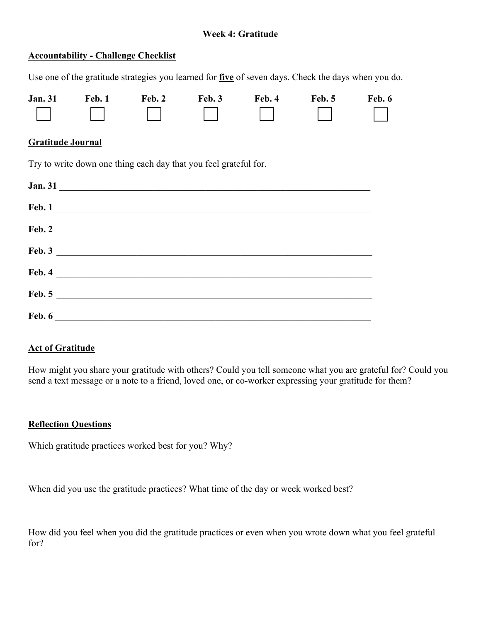### **Week 4: Gratitude**

# **Accountability - Challenge Checklist**

Use one of the gratitude strategies you learned for **five** of seven days. Check the days when you do.

| <b>Jan. 31</b> | Feb. 1 | Feb. 2 | Feb. 3 | Feb. 4 | Feb. 5 | Feb. 6 |
|----------------|--------|--------|--------|--------|--------|--------|
| $\Box$         |        |        |        |        |        |        |

### **Gratitude Journal**

Try to write down one thing each day that you feel grateful for.

|        | Jan. 31                                                                                                               |
|--------|-----------------------------------------------------------------------------------------------------------------------|
|        |                                                                                                                       |
| Feb. 2 | <u> 1989 - Johann John Stone, markin fan it ferstjer fan it ferstjer fan it ferstjer fan it ferstjer fan it fers</u>  |
|        | Feb. 3                                                                                                                |
| Feb. 4 |                                                                                                                       |
| Feb. 5 | <u> 1989 - Jan Barbara, manazarta bashkar a shekara ta 1989 - André a Santa Barbara a shekara ta 1989 - André a S</u> |
| Feb. 6 |                                                                                                                       |

#### **Act of Gratitude**

How might you share your gratitude with others? Could you tell someone what you are grateful for? Could you send a text message or a note to a friend, loved one, or co-worker expressing your gratitude for them?

#### **Reflection Questions**

Which gratitude practices worked best for you? Why?

When did you use the gratitude practices? What time of the day or week worked best?

How did you feel when you did the gratitude practices or even when you wrote down what you feel grateful for?